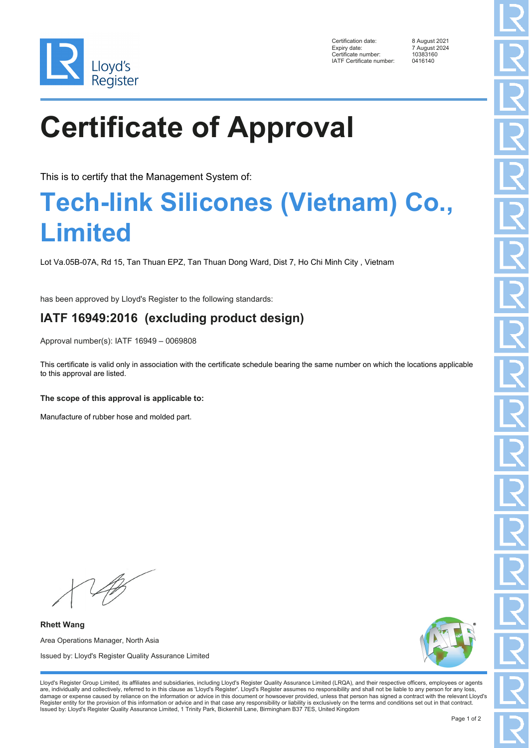

Certification date: 8 August 2021 Expiry date: 7 August 2024<br>Certificate number: 10383160 Ency Parts<br>Certificate number: 1038316<br>IATE Certificate number: 0416140 IATF Certificate number:

# **Certificate of Approval**

This is to certify that the Management System of:

### **Tech-link Silicones (Vietnam) Co., Limited**

Lot Va.05B-07A, Rd 15, Tan Thuan EPZ, Tan Thuan Dong Ward, Dist 7, Ho Chi Minh City , Vietnam

has been approved by Lloyd's Register to the following standards:

### **IATF 16949:2016 (excluding product design)**

Approval number(s): IATF 16949 – 0069808

This certificate is valid only in association with the certificate schedule bearing the same number on which the locations applicable to this approval are listed.

#### **The scope of this approval is applicable to:**

Manufacture of rubber hose and molded part.

**Rhett Wang** Area Operations Manager, North Asia Issued by: Lloyd's Register Quality Assurance Limited



Lloyd's Register Group Limited, its affiliates and subsidiaries, including Lloyd's Register Quality Assurance Limited (LRQA), and their respective officers, employees or agents are, individually and collectively, referred to in this clause as 'Lloyd's Register'. Lloyd's Register assumes no responsibility and shall not be liable to any person for any loss,<br>damage or expense caused by reliance on t Register entity for the provision of this information or advice and in that case any responsibility or liability is exclusively on the terms and conditions set out in that contract. Issued by: Lloyd's Register Quality Assurance Limited, 1 Trinity Park, Bickenhill Lane, Birmingham B37 7ES, United Kingdom